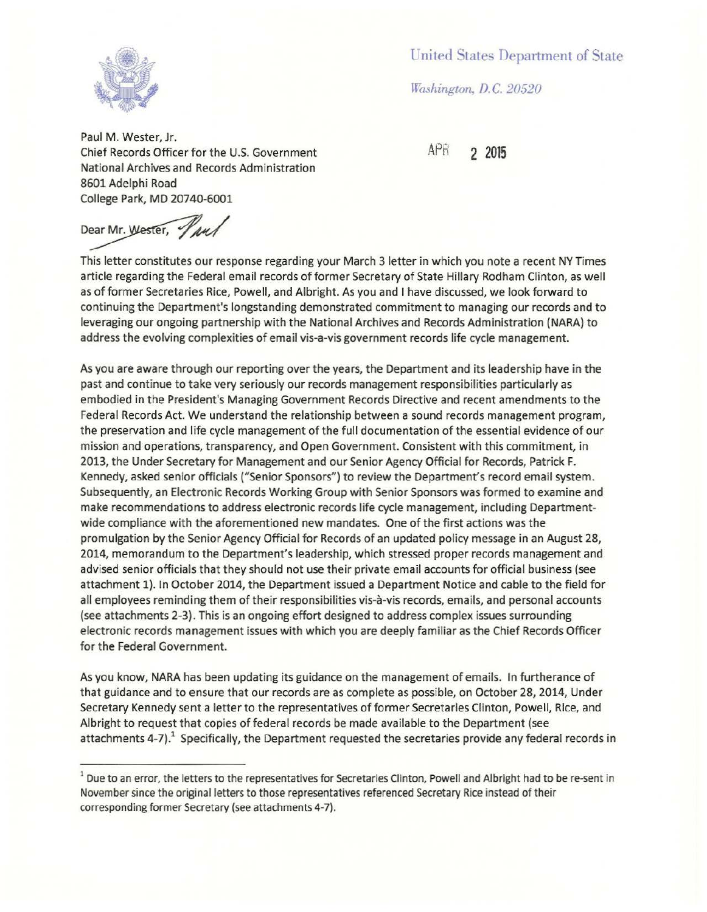United States Department of State

*Washington, D.C. 20520* 



Paul M. Wester, Jr. Chief Records Officer for the U.S. Government APR **2 2015**  National Archives and Records Administration 8601 Adelphi Road College Park, MD 20740-6001

Dear Mr. Wester, Paul

This letter constitutes our response regarding your March 3 letter in which you note a recent NY Times article regarding the Federal email records of former Secretary of State Hillary Rodham Clinton, as well as of former Secretaries Rice, Powell, and Albright. As you and I have discussed, we look forward to continuing the Department's longstanding demonstrated commitment to managing our records and to leveraging our ongoing partnership with the National Archives and Records Administration (NARA) to address the evolving complexities of email vis-a-vis government records life cycle management.

As you are aware through our reporting over the years, the Department and its leadership have in the past and continue to take very seriously our records management responsibilities particularly as embodied in the President's Managing Government Records Directive and recent amendments to the Federal Records Act. We understand the relationship between a sound records management program, the preservation and life cycle management of the full documentation of the essential evidence of our mission and operations, transparency, and Open Government. Consistent with this commitment, in 2013, the Under Secretary for Management and our Senior Agency Official for Records, Patrick F. Kennedy, asked senior officials ("Senior Sponsors") to review the Department's record email system. Subsequently, an Electronic Records Working Group with Senior Sponsors was formed to examine and make recommendations to address electronic records life cycle management, including Departmentwide compliance with the aforementioned new mandates. One of the first actions was the promulgation by the Senior Agency Official for Records of an updated policy message in an August 28, 2014, memorandum to the Department's leadership, which stressed proper records management and advised senior officials that they should not use their private email accounts for official business (see attachment 1). In October 2014, the Department issued a Department Notice and cable to the field for all employees reminding them of their responsibilities vis-a-vis records, emails, and personal accounts (see attachments 2-3). This is an ongoing effort designed to address complex issues surrounding electronic records management issues with which you are deeply familiar as the Chief Records Officer for the Federal Government.

As you know, NARA has been updating its guidance on the management of emails. In furtherance of that guidance and to ensure that our records are as complete as possible, on October 28, 2014, Under Secretary Kennedy sent a letter to the representatives of former Secretaries Clinton, Powell, Rice, and Albright to request that copies of federal records be made available to the Department (see attachments 4-7). $<sup>1</sup>$  Specifically, the Department requested the secretaries provide any federal records in</sup>

<sup>&</sup>lt;sup>1</sup> Due to an error, the letters to the representatives for Secretaries Clinton, Powell and Albright had to be re-sent in November since the original letters to those representatives referenced Secretary Rice instead of their corresponding former Secretary (see attachments 4-7).